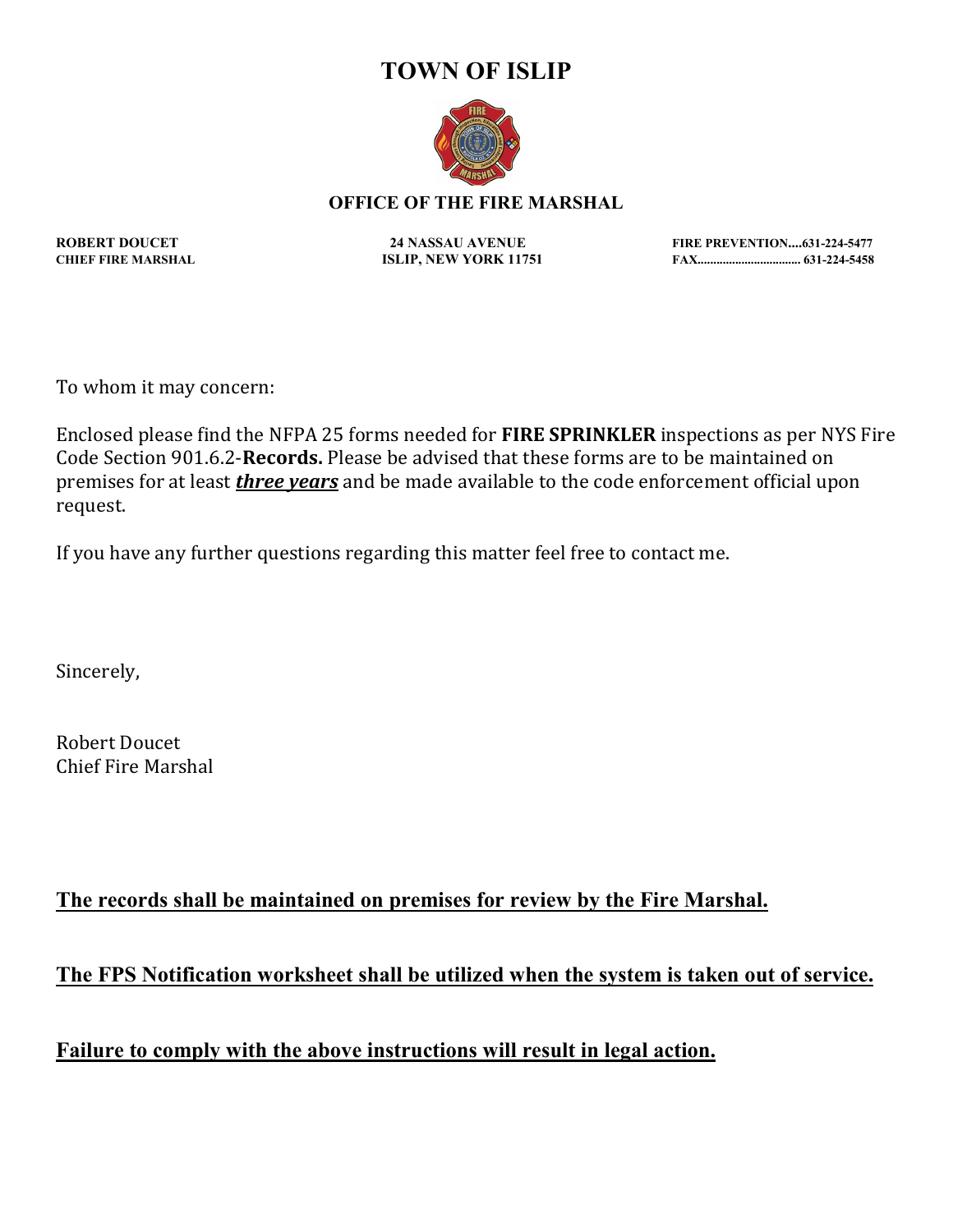### **TOWN OF ISLIP**



#### **OFFICE OF THE FIRE MARSHAL**

**ROBERT DOUCET 24 NASSAU AVENUE FIRE PREVENTION....631-224-5477 CHIEF FIRE MARSHAL ISLIP, NEW YORK 11751 FAX................................. 631-224-5458**

To whom it may concern:

Enclosed please find the NFPA 25 forms needed for **FIRE SPRINKLER** inspections as per NYS Fire Code Section 901.6.2-**Records.** Please be advised that these forms are to be maintained on premises for at least *three years* and be made available to the code enforcement official upon request.

If you have any further questions regarding this matter feel free to contact me.

Sincerely,

Robert Doucet Chief Fire Marshal

### **The records shall be maintained on premises for review by the Fire Marshal.**

**The FPS Notification worksheet shall be utilized when the system is taken out of service.**

**Failure to comply with the above instructions will result in legal action.**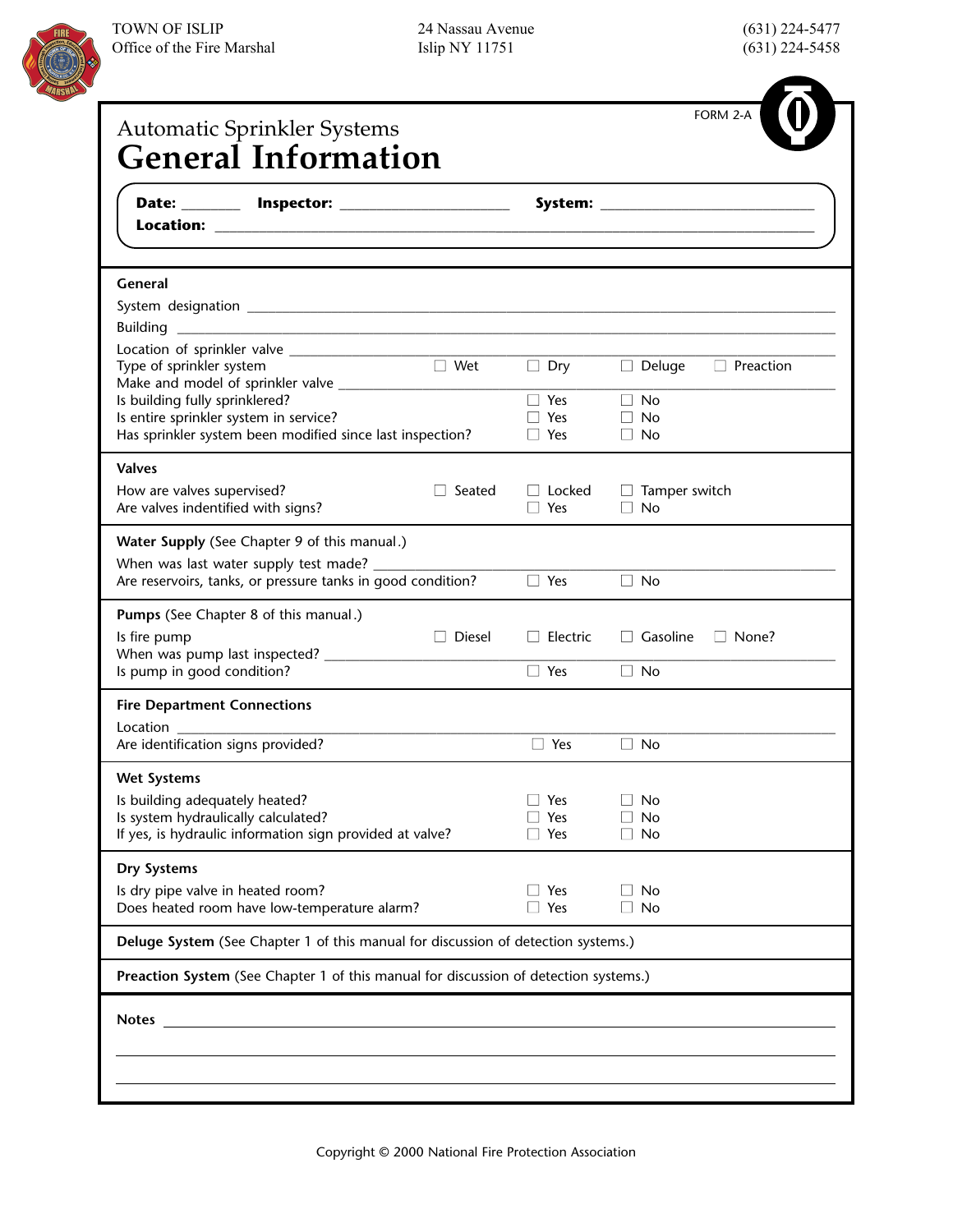

| General                                                                              |                          |                                   |
|--------------------------------------------------------------------------------------|--------------------------|-----------------------------------|
|                                                                                      |                          |                                   |
|                                                                                      |                          |                                   |
|                                                                                      |                          |                                   |
| $\Box$ Wet<br>Type of sprinkler system                                               | $\Box$ Dry               | $\Box$ Deluge<br>$\Box$ Preaction |
|                                                                                      |                          | $\Box$ No                         |
| Is building fully sprinklered?<br>Is entire sprinkler system in service?             | $\Box$ Yes<br>$\Box$ Yes | $\Box$ No                         |
| Has sprinkler system been modified since last inspection?                            | $\Box$ Yes               | $\Box$ No                         |
| <b>Valves</b>                                                                        |                          |                                   |
| How are valves supervised?<br>l l Seated                                             | $\Box$ Locked            | $\Box$ Tamper switch              |
| Are valves indentified with signs?                                                   | $\Box$ Yes               | $\Box$ No                         |
| Water Supply (See Chapter 9 of this manual.)                                         |                          |                                   |
|                                                                                      |                          |                                   |
| Are reservoirs, tanks, or pressure tanks in good condition?                          | $\Box$ Yes               | $\Box$ No                         |
| Pumps (See Chapter 8 of this manual.)                                                |                          |                                   |
| $\Box$ Diesel<br>Is fire pump                                                        | $\Box$ Electric          | $\Box$ Gasoline<br>$\Box$ None?   |
|                                                                                      |                          |                                   |
| Is pump in good condition?                                                           | $\Box$ Yes               | $\Box$ No                         |
| <b>Fire Department Connections</b>                                                   |                          |                                   |
| Location<br>Are identification signs provided?                                       | □ Yes                    | $\Box$ No                         |
| <b>Wet Systems</b>                                                                   |                          |                                   |
| Is building adequately heated?                                                       | Yes                      | No<br>$\Box$                      |
| Is system hydraulically calculated?                                                  | Yes                      | <b>No</b><br>$\perp$              |
| If yes, is hydraulic information sign provided at valve?                             | $\Box$ Yes               | $\Box$ No                         |
| Dry Systems                                                                          |                          |                                   |
| Is dry pipe valve in heated room?                                                    | Yes                      | $\Box$ No                         |
| Does heated room have low-temperature alarm?                                         | $\Box$ Yes               | $\Box$ No                         |
| Deluge System (See Chapter 1 of this manual for discussion of detection systems.)    |                          |                                   |
| Preaction System (See Chapter 1 of this manual for discussion of detection systems.) |                          |                                   |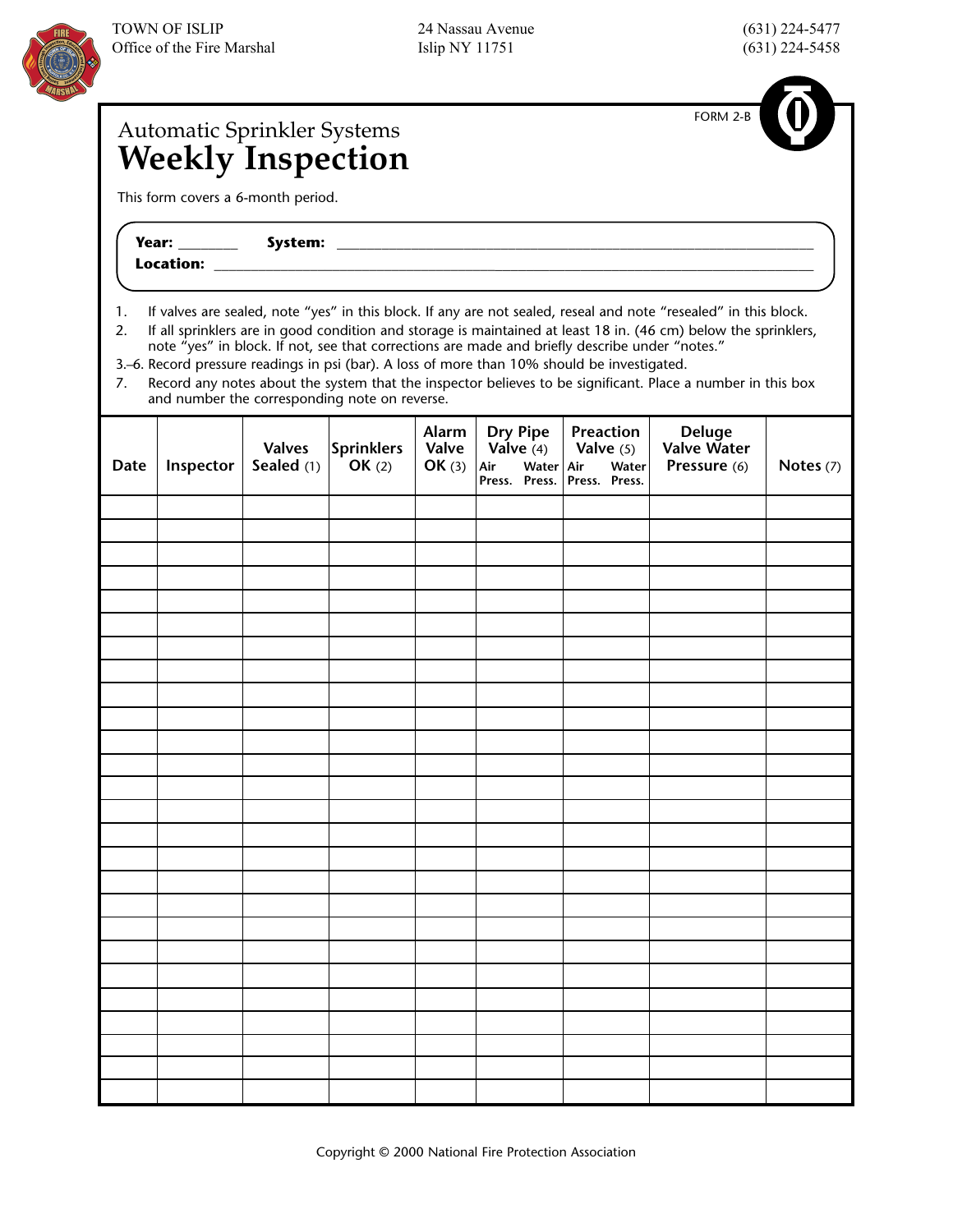# Automatic Sprinkler Systems

FORM 2-B

## **Weekly Inspection**

This form covers a 6-month period.

| Year:     | .<br>system: |  |
|-----------|--------------|--|
| Location: |              |  |

1. If valves are sealed, note "yes" in this block. If any are not sealed, reseal and note "resealed" in this block.

2. If all sprinklers are in good condition and storage is maintained at least 18 in. (46 cm) below the sprinklers, note "yes" in block. If not, see that corrections are made and briefly describe under "notes."

3.–6. Record pressure readings in psi (bar). A loss of more than 10% should be investigated.

7. Record any notes about the system that the inspector believes to be significant. Place a number in this box and number the corresponding note on reverse.

| <b>Date</b> | Inspector | Valves<br>Sealed (1) | Sprinklers<br>OK (2) | Alarm<br>Valve<br>OK(3) | Dry Pipe<br>Valve (4)<br>Air<br>Water Air<br>Press. Press. | Preaction<br>Valve $(5)$<br>Water<br>Press. Press. | Deluge<br>Valve Water<br>Pressure (6) | Notes (7) |
|-------------|-----------|----------------------|----------------------|-------------------------|------------------------------------------------------------|----------------------------------------------------|---------------------------------------|-----------|
|             |           |                      |                      |                         |                                                            |                                                    |                                       |           |
|             |           |                      |                      |                         |                                                            |                                                    |                                       |           |
|             |           |                      |                      |                         |                                                            |                                                    |                                       |           |
|             |           |                      |                      |                         |                                                            |                                                    |                                       |           |
|             |           |                      |                      |                         |                                                            |                                                    |                                       |           |
|             |           |                      |                      |                         |                                                            |                                                    |                                       |           |
|             |           |                      |                      |                         |                                                            |                                                    |                                       |           |
|             |           |                      |                      |                         |                                                            |                                                    |                                       |           |
|             |           |                      |                      |                         |                                                            |                                                    |                                       |           |
|             |           |                      |                      |                         |                                                            |                                                    |                                       |           |
|             |           |                      |                      |                         |                                                            |                                                    |                                       |           |
|             |           |                      |                      |                         |                                                            |                                                    |                                       |           |
|             |           |                      |                      |                         |                                                            |                                                    |                                       |           |
|             |           |                      |                      |                         |                                                            |                                                    |                                       |           |
|             |           |                      |                      |                         |                                                            |                                                    |                                       |           |
|             |           |                      |                      |                         |                                                            |                                                    |                                       |           |
|             |           |                      |                      |                         |                                                            |                                                    |                                       |           |
|             |           |                      |                      |                         |                                                            |                                                    |                                       |           |
|             |           |                      |                      |                         |                                                            |                                                    |                                       |           |
|             |           |                      |                      |                         |                                                            |                                                    |                                       |           |
|             |           |                      |                      |                         |                                                            |                                                    |                                       |           |
|             |           |                      |                      |                         |                                                            |                                                    |                                       |           |
|             |           |                      |                      |                         |                                                            |                                                    |                                       |           |
|             |           |                      |                      |                         |                                                            |                                                    |                                       |           |
|             |           |                      |                      |                         |                                                            |                                                    |                                       |           |
|             |           |                      |                      |                         |                                                            |                                                    |                                       |           |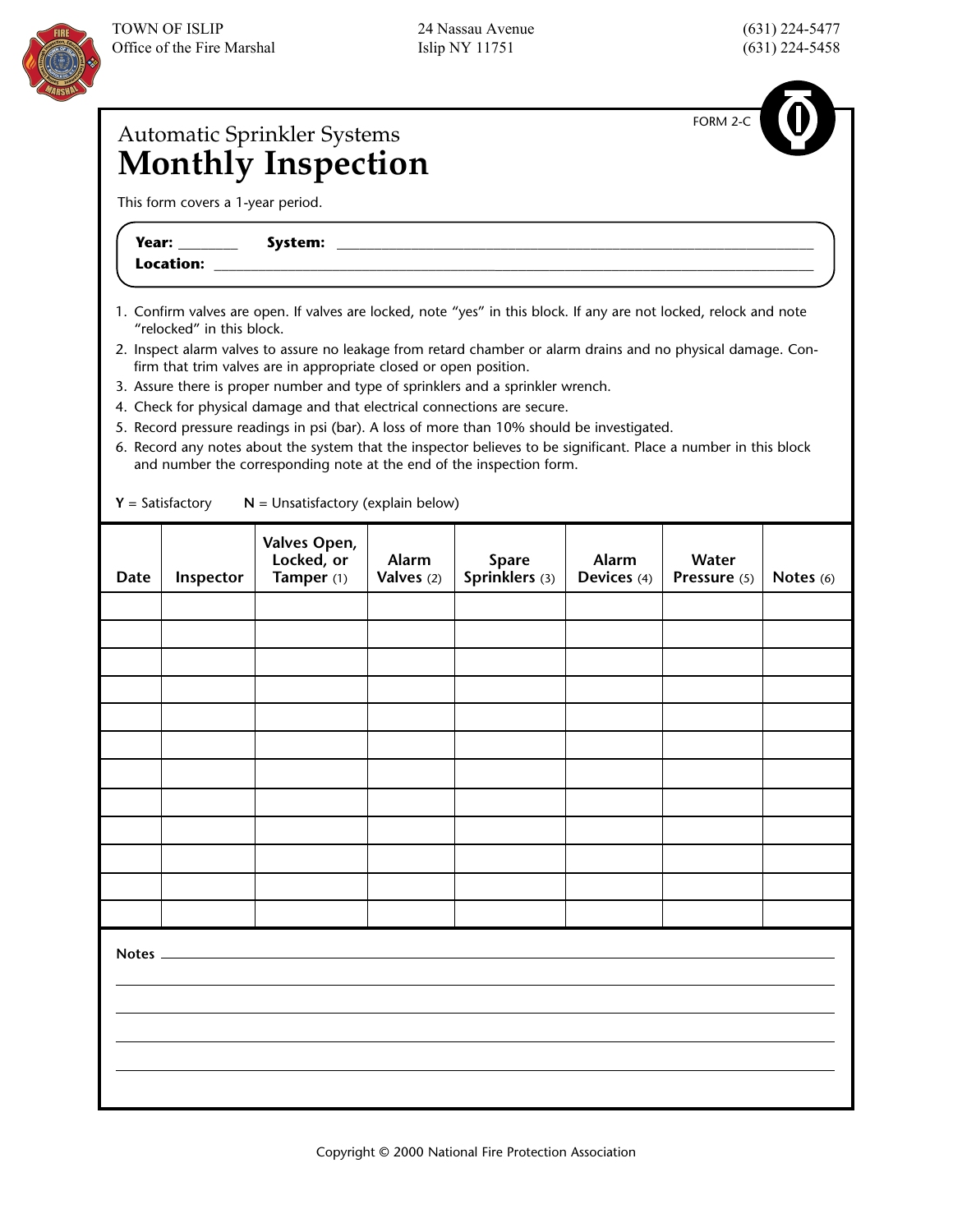

FORM 2-C

## Automatic Sprinkler Systems **Monthly Inspection**

This form covers a 1-year period.

**Year: \_\_\_\_\_\_\_\_ System: \_\_\_\_\_\_\_\_\_\_\_\_\_\_\_\_\_\_\_\_\_\_\_\_\_\_\_\_\_\_\_\_\_\_\_\_\_\_\_\_\_\_\_\_\_\_\_\_\_\_\_\_\_\_\_\_\_\_\_\_\_\_\_\_** Location: \_

- 1. Confirm valves are open. If valves are locked, note "yes" in this block. If any are not locked, relock and note "relocked" in this block.
- 2. Inspect alarm valves to assure no leakage from retard chamber or alarm drains and no physical damage. Confirm that trim valves are in appropriate closed or open position.
- 3. Assure there is proper number and type of sprinklers and a sprinkler wrench.
- 4. Check for physical damage and that electrical connections are secure.
- 5. Record pressure readings in psi (bar). A loss of more than 10% should be investigated.
- 6. Record any notes about the system that the inspector believes to be significant. Place a number in this block and number the corresponding note at the end of the inspection form.

| <b>Date</b> | Inspector | Valves Open,<br>Locked, or<br>Tamper (1) | Alarm<br>Valves (2) | Spare<br>Sprinklers (3) | Alarm<br>Devices (4) | Water<br>Pressure (5) | Notes (6) |
|-------------|-----------|------------------------------------------|---------------------|-------------------------|----------------------|-----------------------|-----------|
|             |           |                                          |                     |                         |                      |                       |           |
|             |           |                                          |                     |                         |                      |                       |           |
|             |           |                                          |                     |                         |                      |                       |           |
|             |           |                                          |                     |                         |                      |                       |           |
|             |           |                                          |                     |                         |                      |                       |           |
|             |           |                                          |                     |                         |                      |                       |           |
|             |           |                                          |                     |                         |                      |                       |           |
|             |           |                                          |                     |                         |                      |                       |           |
|             |           |                                          |                     |                         |                      |                       |           |
|             |           |                                          |                     |                         |                      |                       |           |
|             |           |                                          |                     |                         |                      |                       |           |
|             |           |                                          |                     |                         |                      |                       |           |
| Notes _     |           |                                          |                     |                         |                      |                       |           |
|             |           |                                          |                     |                         |                      |                       |           |
|             |           |                                          |                     |                         |                      |                       |           |
|             |           |                                          |                     |                         |                      |                       |           |

 $Y = Satisfactory$   $N =$  Unsatisfactory (explain below)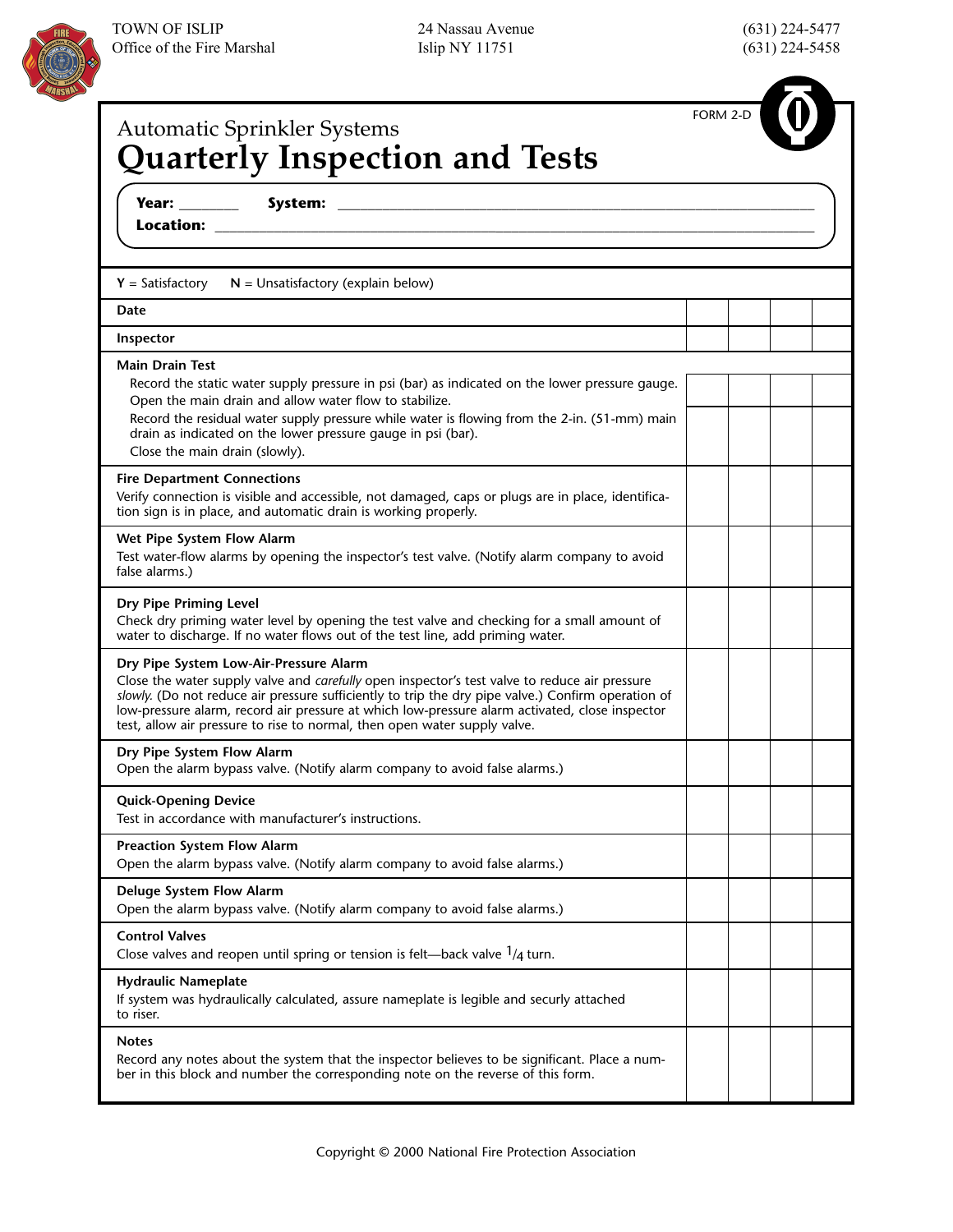

| Automatic Sprinkler Systems<br><b>Quarterly Inspection and Tests</b>                                                                                                                                                                                                                                                                                                                                                         | FORM 2-D |  |
|------------------------------------------------------------------------------------------------------------------------------------------------------------------------------------------------------------------------------------------------------------------------------------------------------------------------------------------------------------------------------------------------------------------------------|----------|--|
|                                                                                                                                                                                                                                                                                                                                                                                                                              |          |  |
| $Y = Satisfactory$<br>$N =$ Unsatisfactory (explain below)                                                                                                                                                                                                                                                                                                                                                                   |          |  |
| Date                                                                                                                                                                                                                                                                                                                                                                                                                         |          |  |
| Inspector                                                                                                                                                                                                                                                                                                                                                                                                                    |          |  |
| <b>Main Drain Test</b><br>Record the static water supply pressure in psi (bar) as indicated on the lower pressure gauge.<br>Open the main drain and allow water flow to stabilize.<br>Record the residual water supply pressure while water is flowing from the 2-in. (51-mm) main<br>drain as indicated on the lower pressure gauge in psi (bar).<br>Close the main drain (slowly).                                         |          |  |
| <b>Fire Department Connections</b><br>Verify connection is visible and accessible, not damaged, caps or plugs are in place, identifica-<br>tion sign is in place, and automatic drain is working properly.                                                                                                                                                                                                                   |          |  |
| Wet Pipe System Flow Alarm<br>Test water-flow alarms by opening the inspector's test valve. (Notify alarm company to avoid<br>false alarms.)                                                                                                                                                                                                                                                                                 |          |  |
| Dry Pipe Priming Level<br>Check dry priming water level by opening the test valve and checking for a small amount of<br>water to discharge. If no water flows out of the test line, add priming water.                                                                                                                                                                                                                       |          |  |
| Dry Pipe System Low-Air-Pressure Alarm<br>Close the water supply valve and carefully open inspector's test valve to reduce air pressure<br>slowly. (Do not reduce air pressure sufficiently to trip the dry pipe valve.) Confirm operation of<br>low-pressure alarm, record air pressure at which low-pressure alarm activated, close inspector<br>test, allow air pressure to rise to normal, then open water supply valve. |          |  |
| Dry Pipe System Flow Alarm<br>Open the alarm bypass valve. (Notify alarm company to avoid false alarms.)                                                                                                                                                                                                                                                                                                                     |          |  |
| <b>Quick-Opening Device</b><br>Test in accordance with manufacturer's instructions.                                                                                                                                                                                                                                                                                                                                          |          |  |
| <b>Preaction System Flow Alarm</b><br>Open the alarm bypass valve. (Notify alarm company to avoid false alarms.)                                                                                                                                                                                                                                                                                                             |          |  |
| Deluge System Flow Alarm<br>Open the alarm bypass valve. (Notify alarm company to avoid false alarms.)                                                                                                                                                                                                                                                                                                                       |          |  |
| <b>Control Valves</b><br>Close valves and reopen until spring or tension is felt—back valve $1/4$ turn.                                                                                                                                                                                                                                                                                                                      |          |  |
| <b>Hydraulic Nameplate</b><br>If system was hydraulically calculated, assure nameplate is legible and securly attached<br>to riser.                                                                                                                                                                                                                                                                                          |          |  |
| <b>Notes</b><br>Record any notes about the system that the inspector believes to be significant. Place a num-<br>ber in this block and number the corresponding note on the reverse of this form.                                                                                                                                                                                                                            |          |  |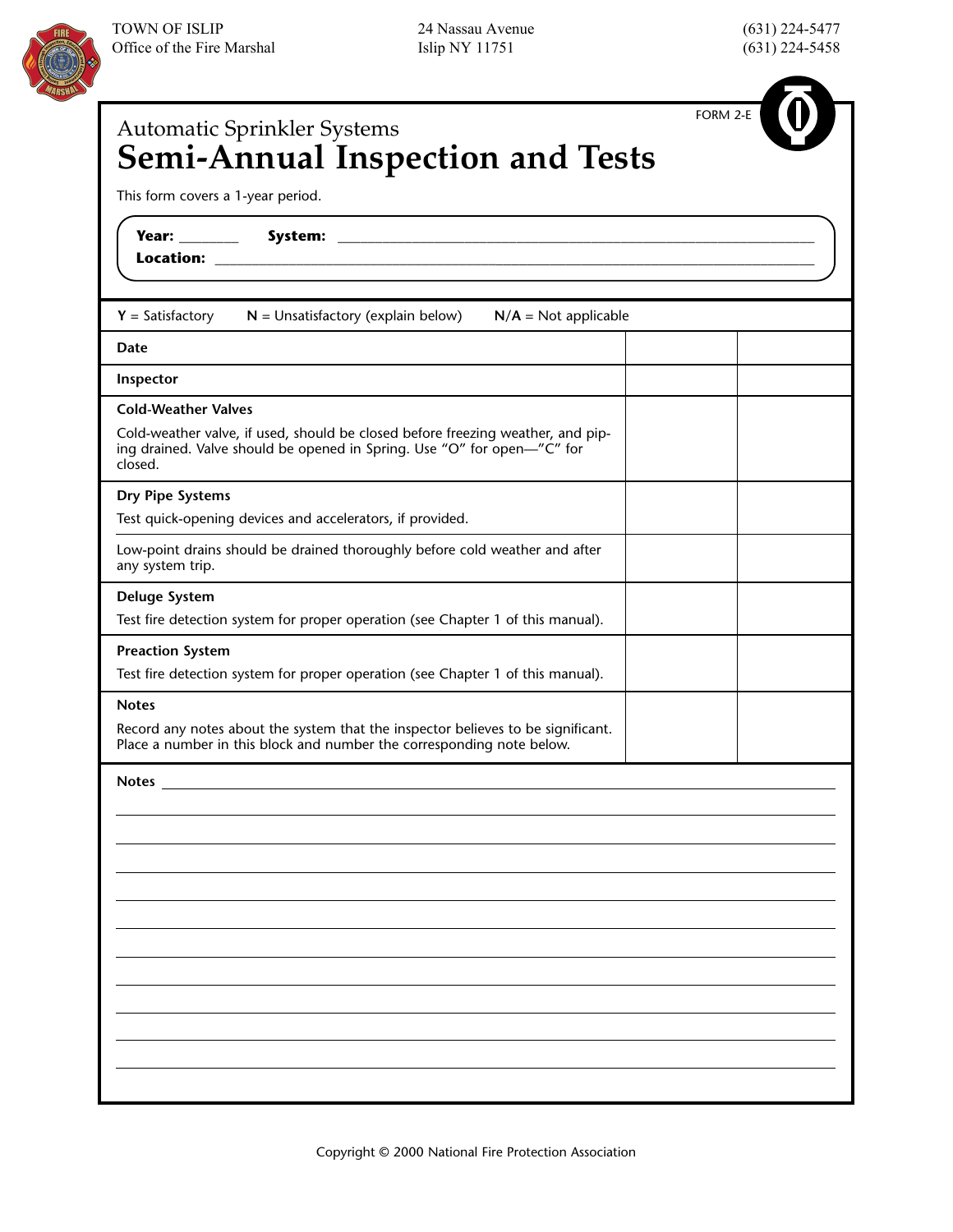



| FORM 2-E<br><b>Automatic Sprinkler Systems</b>                                                                                                                            |
|---------------------------------------------------------------------------------------------------------------------------------------------------------------------------|
| <b>Semi-Annual Inspection and Tests</b>                                                                                                                                   |
| This form covers a 1-year period.                                                                                                                                         |
|                                                                                                                                                                           |
| $Y = Satisfactory$<br>$N =$ Unsatisfactory (explain below)<br>$N/A = Not applicable$                                                                                      |
| Date                                                                                                                                                                      |
| Inspector                                                                                                                                                                 |
| <b>Cold-Weather Valves</b>                                                                                                                                                |
| Cold-weather valve, if used, should be closed before freezing weather, and pip-<br>ing drained. Valve should be opened in Spring. Use "O" for open-"C" for<br>closed.     |
| Dry Pipe Systems                                                                                                                                                          |
| Test quick-opening devices and accelerators, if provided.                                                                                                                 |
| Low-point drains should be drained thoroughly before cold weather and after<br>any system trip.                                                                           |
| <b>Deluge System</b>                                                                                                                                                      |
| Test fire detection system for proper operation (see Chapter 1 of this manual).                                                                                           |
| <b>Preaction System</b>                                                                                                                                                   |
| Test fire detection system for proper operation (see Chapter 1 of this manual).                                                                                           |
| <b>Notes</b><br>Record any notes about the system that the inspector believes to be significant.<br>Place a number in this block and number the corresponding note below. |
| <b>Notes</b>                                                                                                                                                              |
|                                                                                                                                                                           |
|                                                                                                                                                                           |
|                                                                                                                                                                           |
|                                                                                                                                                                           |
|                                                                                                                                                                           |
|                                                                                                                                                                           |
|                                                                                                                                                                           |
|                                                                                                                                                                           |
|                                                                                                                                                                           |
|                                                                                                                                                                           |
|                                                                                                                                                                           |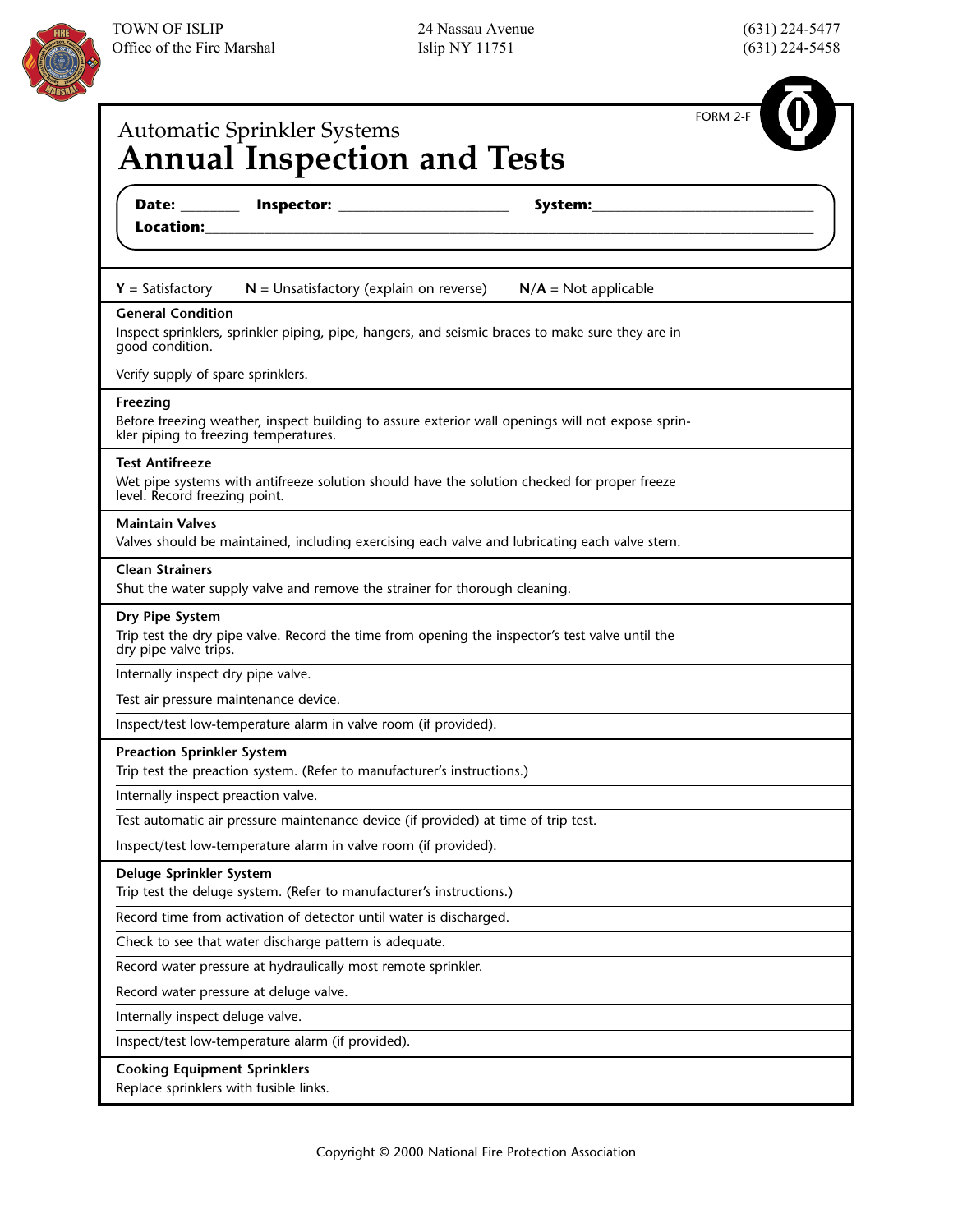|                                                                               | <b>Automatic Sprinkler Systems</b><br><b>Annual Inspection and Tests</b>           |                                                                                                   | FORM 2-F |
|-------------------------------------------------------------------------------|------------------------------------------------------------------------------------|---------------------------------------------------------------------------------------------------|----------|
|                                                                               |                                                                                    | the control of the control of the control of the control of the control of the control of         |          |
| $Y = Satisfactory$                                                            | $N =$ Unsatisfactory (explain on reverse)                                          | $N/A = Not applicable$                                                                            |          |
| <b>General Condition</b><br>good condition.                                   |                                                                                    | Inspect sprinklers, sprinkler piping, pipe, hangers, and seismic braces to make sure they are in  |          |
| Verify supply of spare sprinklers.                                            |                                                                                    |                                                                                                   |          |
| Freezing<br>kler piping to freezing temperatures.                             |                                                                                    | Before freezing weather, inspect building to assure exterior wall openings will not expose sprin- |          |
| <b>Test Antifreeze</b><br>level. Record freezing point.                       |                                                                                    | Wet pipe systems with antifreeze solution should have the solution checked for proper freeze      |          |
| <b>Maintain Valves</b>                                                        |                                                                                    | Valves should be maintained, including exercising each valve and lubricating each valve stem.     |          |
| <b>Clean Strainers</b>                                                        | Shut the water supply valve and remove the strainer for thorough cleaning.         |                                                                                                   |          |
| Dry Pipe System<br>dry pipe valve trips.                                      |                                                                                    | Trip test the dry pipe valve. Record the time from opening the inspector's test valve until the   |          |
| Internally inspect dry pipe valve.                                            |                                                                                    |                                                                                                   |          |
|                                                                               | Test air pressure maintenance device.                                              |                                                                                                   |          |
|                                                                               | Inspect/test low-temperature alarm in valve room (if provided).                    |                                                                                                   |          |
| <b>Preaction Sprinkler System</b>                                             | Trip test the preaction system. (Refer to manufacturer's instructions.)            |                                                                                                   |          |
| Internally inspect preaction valve.                                           |                                                                                    |                                                                                                   |          |
|                                                                               | Test automatic air pressure maintenance device (if provided) at time of trip test. |                                                                                                   |          |
|                                                                               | Inspect/test low-temperature alarm in valve room (if provided).                    |                                                                                                   |          |
| Deluge Sprinkler System                                                       | Trip test the deluge system. (Refer to manufacturer's instructions.)               |                                                                                                   |          |
|                                                                               | Record time from activation of detector until water is discharged.                 |                                                                                                   |          |
|                                                                               | Check to see that water discharge pattern is adequate.                             |                                                                                                   |          |
|                                                                               | Record water pressure at hydraulically most remote sprinkler.                      |                                                                                                   |          |
|                                                                               | Record water pressure at deluge valve.                                             |                                                                                                   |          |
| Internally inspect deluge valve.                                              |                                                                                    |                                                                                                   |          |
|                                                                               | Inspect/test low-temperature alarm (if provided).                                  |                                                                                                   |          |
| <b>Cooking Equipment Sprinklers</b><br>Replace sprinklers with fusible links. |                                                                                    |                                                                                                   |          |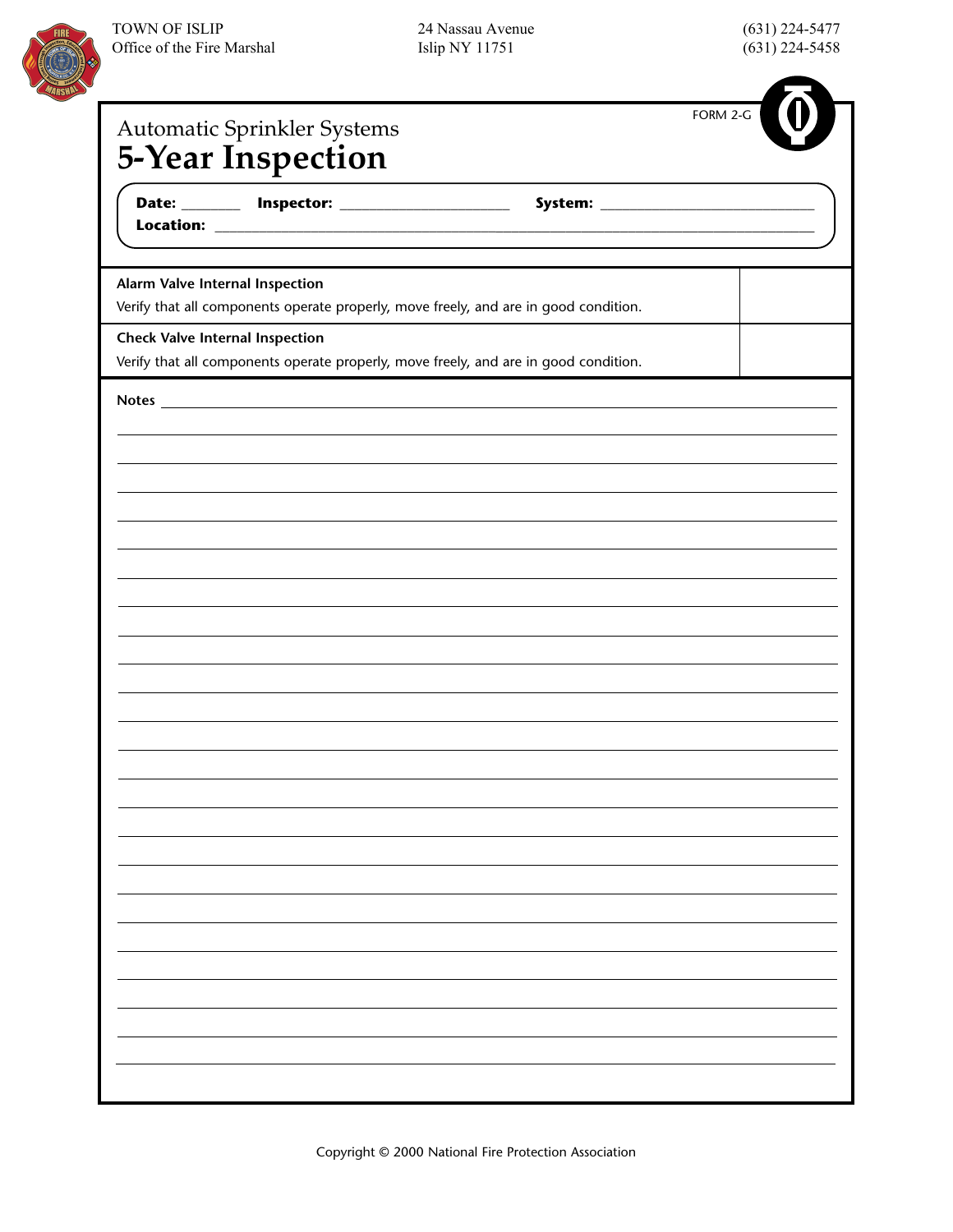

| Automatic Sprinkler Systems                                                                                             | FORM 2-G |
|-------------------------------------------------------------------------------------------------------------------------|----------|
| <b>5-Year Inspection</b>                                                                                                |          |
|                                                                                                                         |          |
| the control of the control of the control of the control of the control of                                              |          |
|                                                                                                                         |          |
| Alarm Valve Internal Inspection<br>Verify that all components operate properly, move freely, and are in good condition. |          |
| <b>Check Valve Internal Inspection</b>                                                                                  |          |
| Verify that all components operate properly, move freely, and are in good condition.                                    |          |
|                                                                                                                         |          |
|                                                                                                                         |          |
|                                                                                                                         |          |
|                                                                                                                         |          |
|                                                                                                                         |          |
|                                                                                                                         |          |
|                                                                                                                         |          |
|                                                                                                                         |          |
|                                                                                                                         |          |
|                                                                                                                         |          |
|                                                                                                                         |          |
|                                                                                                                         |          |
|                                                                                                                         |          |
|                                                                                                                         |          |
|                                                                                                                         |          |
|                                                                                                                         |          |
|                                                                                                                         |          |
|                                                                                                                         |          |
|                                                                                                                         |          |
|                                                                                                                         |          |
|                                                                                                                         |          |
|                                                                                                                         |          |
|                                                                                                                         |          |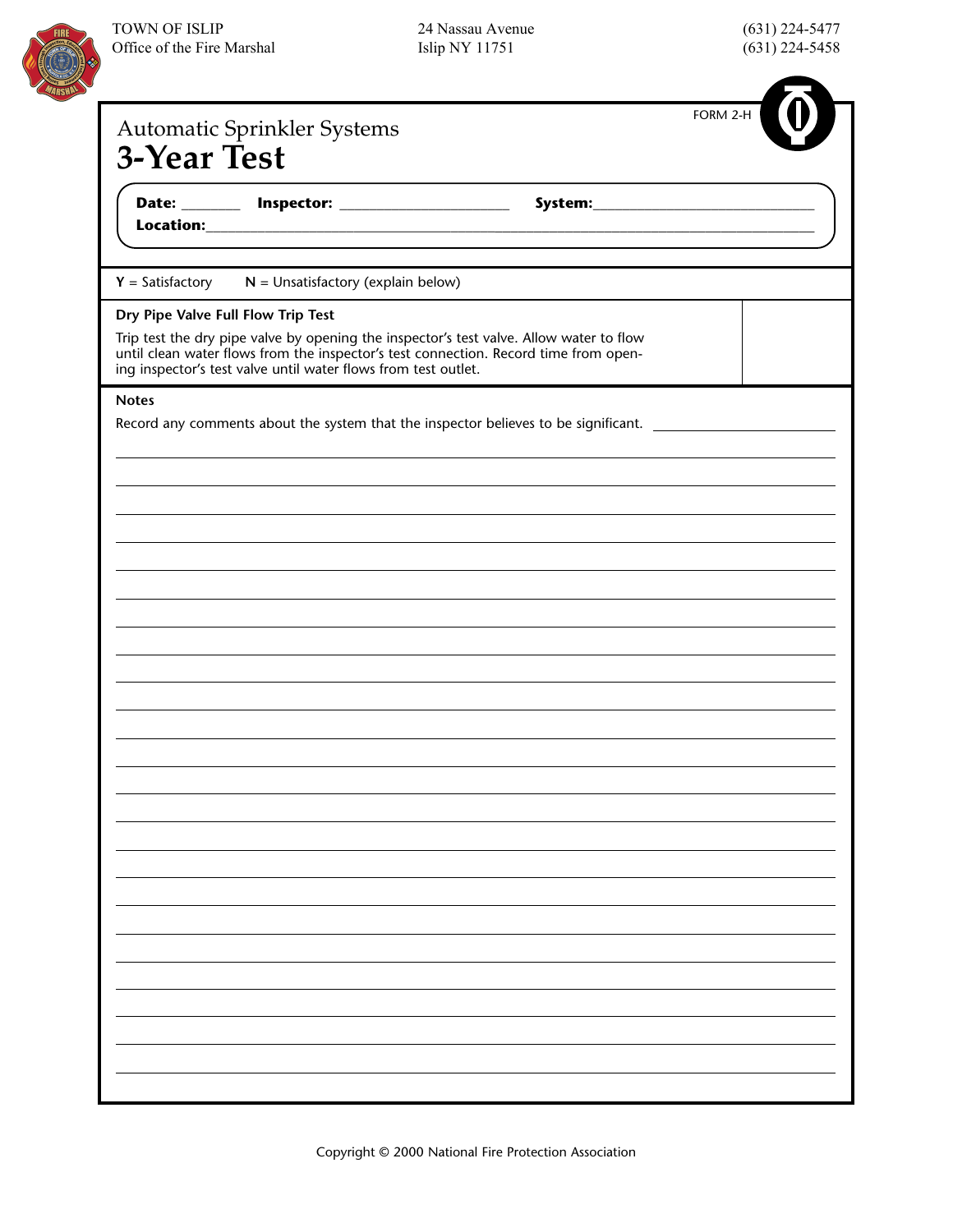

| (631) 224-5477 |
|----------------|
| (631) 224-5458 |

|                                    | <b>Automatic Sprinkler Systems</b>                                                                                                                                                                                                                |                                                                                                               | FORM 2-H |
|------------------------------------|---------------------------------------------------------------------------------------------------------------------------------------------------------------------------------------------------------------------------------------------------|---------------------------------------------------------------------------------------------------------------|----------|
| <b>3-Year Test</b>                 |                                                                                                                                                                                                                                                   |                                                                                                               |          |
|                                    | <u> 1989 - Johann Harry Barn, mars and de Branch and de Branch and de Branch and de Branch and de Branch and de B</u>                                                                                                                             |                                                                                                               |          |
|                                    | $Y = Satisfactory$ $N = Unsatisfactory (explain below)$                                                                                                                                                                                           |                                                                                                               |          |
| Dry Pipe Valve Full Flow Trip Test |                                                                                                                                                                                                                                                   |                                                                                                               |          |
|                                    | Trip test the dry pipe valve by opening the inspector's test valve. Allow water to flow<br>until clean water flows from the inspector's test connection. Record time from open-<br>ing inspector's test valve until water flows from test outlet. |                                                                                                               |          |
| <b>Notes</b>                       |                                                                                                                                                                                                                                                   |                                                                                                               |          |
|                                    |                                                                                                                                                                                                                                                   | Record any comments about the system that the inspector believes to be significant. _________________________ |          |
|                                    |                                                                                                                                                                                                                                                   |                                                                                                               |          |
|                                    |                                                                                                                                                                                                                                                   |                                                                                                               |          |
|                                    |                                                                                                                                                                                                                                                   |                                                                                                               |          |
|                                    |                                                                                                                                                                                                                                                   |                                                                                                               |          |
|                                    |                                                                                                                                                                                                                                                   |                                                                                                               |          |
|                                    |                                                                                                                                                                                                                                                   |                                                                                                               |          |
|                                    |                                                                                                                                                                                                                                                   |                                                                                                               |          |
|                                    |                                                                                                                                                                                                                                                   |                                                                                                               |          |
|                                    |                                                                                                                                                                                                                                                   |                                                                                                               |          |
|                                    |                                                                                                                                                                                                                                                   |                                                                                                               |          |
|                                    |                                                                                                                                                                                                                                                   |                                                                                                               |          |
|                                    |                                                                                                                                                                                                                                                   |                                                                                                               |          |
|                                    |                                                                                                                                                                                                                                                   |                                                                                                               |          |
|                                    |                                                                                                                                                                                                                                                   |                                                                                                               |          |
|                                    |                                                                                                                                                                                                                                                   |                                                                                                               |          |
|                                    |                                                                                                                                                                                                                                                   |                                                                                                               |          |
|                                    |                                                                                                                                                                                                                                                   |                                                                                                               |          |
|                                    |                                                                                                                                                                                                                                                   |                                                                                                               |          |
|                                    |                                                                                                                                                                                                                                                   |                                                                                                               |          |
|                                    |                                                                                                                                                                                                                                                   |                                                                                                               |          |
|                                    |                                                                                                                                                                                                                                                   |                                                                                                               |          |
|                                    |                                                                                                                                                                                                                                                   |                                                                                                               |          |
|                                    |                                                                                                                                                                                                                                                   |                                                                                                               |          |
|                                    |                                                                                                                                                                                                                                                   |                                                                                                               |          |